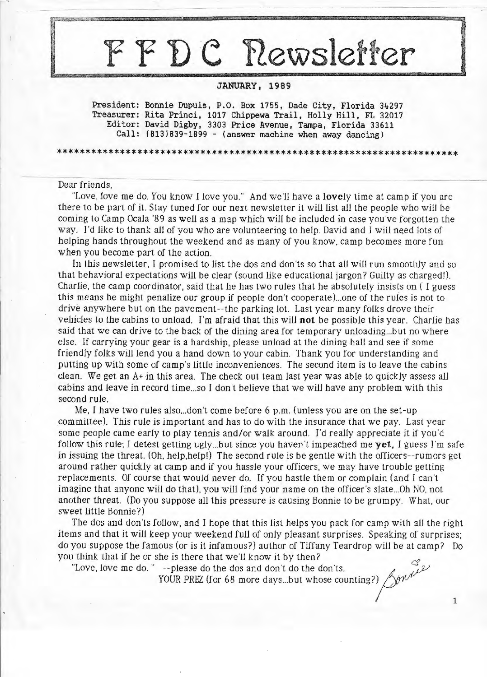# FYDC Newsletter

# **JANUARY, 1989**

President: Bonnie Dupuis, P.O. Box 1755, Dade City, Florida 34297 **Treasurer: Rita Princi, 1017 Chippewa Trail, Holly Hill, FL 32017 Editor: David Digby, 3303 Price Avenue, Tampa, Florida 33611 Call: (813)839-1899** - **(answer machine when away dancing)** 

\*\*\*\*\*\*\*\*\*\*\*\*\*\*\*\*\*\*\*\*\*\*\*\*\*\*\*\*\*\*\*\*\*\*\*\*\*\*\*\*\*\*\*\*\*\*\*\*\*\*\*\*\*\*\*\*\*\*\*\*\*\*\*\*\*\*\*\*\*\*

# Dear friends,

"Love, love me do. You know I love you." And we'll have a **lovely** time at camp if you are there to be part of it. Stay tuned for our next newsletter it will list all the people who will be coming to Camp Ocala '89 as well as a map which will be included in case you've forgotten the way. I'd like to thank all of you who are volunteering to help. David and I will need lots of helping hands throughout the weekend and as many of you know, camp becomes more fun when you become part of the action.

In this newsletter, I promised to list the dos and don'ts so that all will run smoothly and so that behavioral expectations will be clear (sound like educational jargon? Guilty as charged!). Charlie, the camp coordinator, said that he has two rules that he absolutely insists on ( I guess this means he might penalize our group if people don't cooperate) ... one of the rules is not to drive anywhere but on the pavement--the parking lot. Last year many folks drove their vehicles to the cabins to unload. I'm afraid that this will **not** be possible this year. Charlie has said that we can drive to the back of the dining area for temporary unloading ... but no where else. If carrying your gear is a hardship, please unload at the dining hall and see if some friendly folks will lend you a hand down to your cabin. Thank you for understanding and putting up with some of camp's little inconveniences. The second item is to leave the cabins clean. We get an A+ in this area. The check out team last year was able to quickly assess all cabins and leave in record time ... so I don't believe that we will have any problem with this second rule.

Me, I have two rules also ... don't come before  $6$  p.m. (unless you are on the set-up committee). This rule is important and has to do with the insurance that we pay. Last year some people came early to play tennis and/or walk around. I'd really appreciate it if you'd follow this rule; I detest getting ugly ... but since you haven't impeached me **yet.** I guess I'm safe in issuing the threat. (Oh, help.help!) The second rule is be gentle with the officers--rumors get around rather quickly at camp and if you hassle your officers, we may have trouble getting replacements. Of course that would never do. If you hastle them or complain (and I can't imagine that anyone will do that), you will find your name on the officer's slate ... Oh NO, not another threat. (Do you suppose all this pressure is causing Bonnie to be grumpy. What, our sweet little Bonnie?)

The dos and don'ts follow, and I hope that this list helps you pack for camp with all the right items and that it will keep your weekend full of only pleasant surprises. Speaking of surprises; do you suppose the famous (or is it infamous?) author of Tiffany Teardrop will be at camp? Do you think that if he or she is there that we'll know it by then? think that if he or she is there that we'll know it by then?<br>"Love, love me do." --please do the dos and don't do the don'ts.

**YOUR PREZ** (for 68 more days...but whose counting?)  $\bigwedge^6$ 

1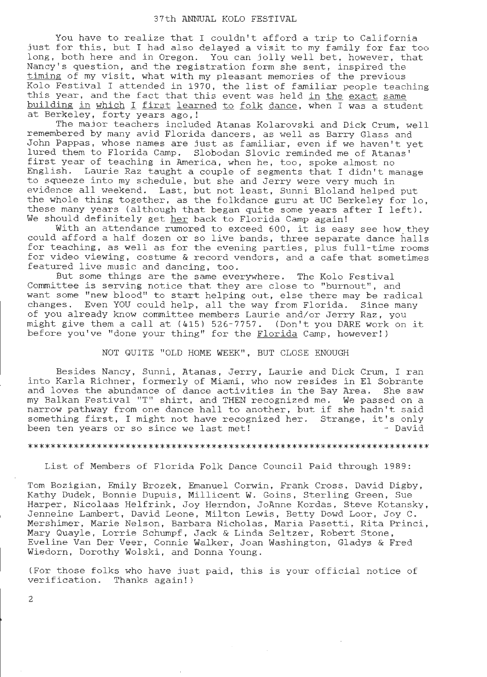## 37th ANNUAL KOLO FESTIVAL

You have to realize that I couldn't afford a trip to California just for this, but I had also delayed a visit to my family for far too long, both here and in Oregon. You can jolly well bet, however, that Nancy's question, and the registration form she sent, inspired the Nancy 5 gacseron, and the registration form she sent, inspired the<br>timing of my visit, what with my pleasant memories of the previous Kolo Festival I attended in 1970, the list of familiar people teaching this year, and the fact that this event was held in the exact same building in which I first learned to folk dance, when I was a student at Berkeley, forty years ago,!

The major teachers included Atanas Kolarovski and Dick Crum, well remembered by many avid Florida dancers, as well as Barry Glass and John Pappas, whose names are just as familiar, even if we haven't yet lured them to Florida Camp. Slobodan Slovic reminded me of Atanas' first year of teaching in America, when he, too, spoke almost no English. Laurie Raz taught a couple of segments that I didn't manage to squeeze into my schedule, but she and Jerry were very much in evidence all weekend. Last, but not least, Sunni Bloland helped put the whole thing together, as the folkdance guru at UC Berkeley for lo, these many years (although that began quite some years after I left). We should definitely get her back to Florida Camp again!

With an attendance rumored to exceed 600, it is easy see how they could afford a half dozen or so live bands, three separate dance halls for teaching, as well as for the evening parties, plus full-time rooms for codening, as well as for the evening parties, prus full time fooms<br>for video viewing, costume & record vendors, and a cafe that sometimes featured live music and dancing, too.

But some things are the same everywhere. The Kolo Festival Committee is serving notice that they are close to "burnout", and want some "new blood" to start helping out, else there may be radical changes. Even YOU could help, all the way from Florida. Since many of you already know committee members Laurie and/or Jerry Raz, you might give them a call at  $(415)$  526-7757. (Don't you DARE work on it before you've "done your thing" for the Florida Camp, however!)

## NOT QUITE "OLD HOME WEEK", BUT CLOSE ENOUGH

Besides Nancy, Sunni, Atanas, Jerry, Laurie and Dick Crum, I ran into Karla Richner, formerly of Miami, who now resides in El Sobrante and loves the abundance of dance activities in the Bay Area. She saw my Balkan Festival "T" shirt, and THEN recognized me. We passed on a narrow pathway from one dance hall to another, but if she hadn't said something first, I might not have recognized her. Strange, it's only<br>been ten years or so since we last met! - David been ten years or so since we last met!

## \*\*\*\*\*\*\*\*\*\*\*\*\*\*\*\*\*\*\*\*\*\*\*\*\*\*\*\*\*\*\*\*\*\*\*\*\*\*\*\*\*\*\*\*\*\*\*\*\*\*\*\*\*\*\*\*\*\*\*\*\*\*\*\*\*\*\*\*\*\*

List of Members of Florida Folk Dance Council Paid through 1989:

Tom Bozigian, Emily Brozek, Emanuel Corwin, Frank Cross, David Digby, Kathy Dudek, Bonnie Dupuis, Millicent W. Goins, Sterling Green, Sue Harper, Nicolaas Helfrink, Joy Herndon, JoAnne Kordas, Steve Kotansky, Jenneine Lambert, David Leone, Milton Lewis, Betty Dowd Loor, Joy C. Mershimer, Marie Nelson, Barbara Nicholas, Maria Pasetti, Rita Princi, Mary Quayle, Lorrie Schumpf, Jack & Linda Seltzer, Robert Stone, Eveline Van Der Veer , Connie Walker, Joan Washington, Gladys & Fred Wiedorn, Dorothy Wolski, and Donna Young .

(For those folks who have just paid, this is your official notice of verification. Thanks again!)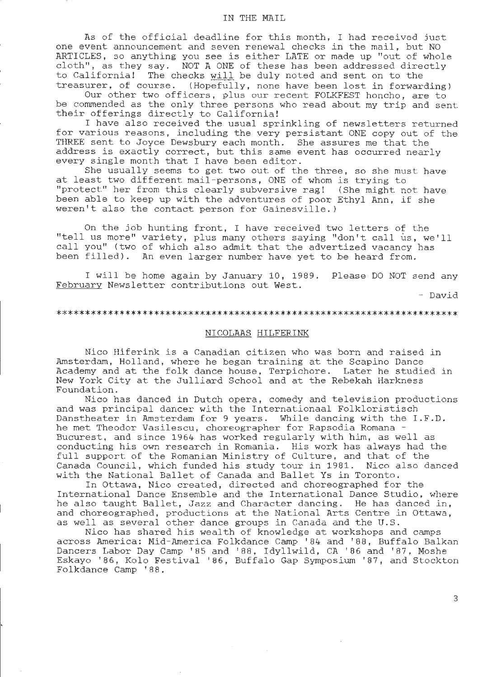## IN THE MAIL

As of the official deadline for this month, I had received just one event announcement and seven renewal checks in the mail, but NO ARTICLES, so anything you see is either LATE or made up "out of whole cloth", as they say. NOT A ONE of these has been addressed directly to California! The checks will be duly noted and sent on to the treasurer, of course. (Hopefully, none have been lost in forwarding)

Our other two officers, plus our recent FOLKFEST honcho, are to be commended as the only three persons who read about my trip and sent their offerings directly to California!

I have also received the usual sprinkling of newsletters returned for various reasons, including the very persistant ONE copy out of the THREE sent to Joyce Dewsbury each month. She assures me that the address is exactly correct, but this same event has occurred nearly every single month that I have been editor.

She usually seems to get two out of the three, so she must have at least two different mail-persons, ONE of whom is trying to "protect" her from this clearly subversive rag! (She might not have been able to keep up with the adventures of poor Ethyl Ann, if she weren't also the contact person for Gainesville.)

On the job hunting front, I have received two letters of the "tell us more" variety, plus many others saying "don't call us, we'll call you" (two of which also admit that the advertized vacancy has been filled). An even larger number have yet to be heard from.

I will be home again by January 10, 1989 . Please DO NOT send any February Newsletter contributions out West.

- David

#### \*\*\*\*\*\*\*\*\*\*\*\*\*\*\*\*\*\*\*\*\*\*\*\*\*\*\*\*\*\*\*\*\*\*\*\*\*\*\*\*\*\*\*\*\*\*\*\*\*\*\*\*\*\*\*\*\*\*\*\*\*\*\*\*\*\*\*\*\*\*

# NICOLAAS HILFERINK

Nico Hiferink is a Canadian citizen who was born and raised in Amsterdam, Holland, where he began training at the Scapino Dance Academy and at the folk dance house, Terpichore. Later he studied in New York City at the Julliard School and at the Rebekah Harkness Foundation.

Nico has danced in Dutch opera, comedy and television productions and was principal dancer with the Internationaal Folkloristisch Danstheater in Amsterdam for 9 years. While dancing with the I.F.D. he met Theodor Vasilescu, choreographer for Rapsodia Romana - Bucurest, and since 1964 has worked regularly with him, as well as conducting his own research in Romania. His work has always had the full support of the Romanian Ministry of Culture, and that of the Canada Council, which funded his study tour in 1981. Nico also danced with the National Ballet of Canada and Ballet Ys in Toronto.

In Ottawa, Nico created, directed and choreographed for the International Dance Ensemble and the International Dance Studio, where he also taught Ballet, Jazz and Character dancing. He has danced in, and choreographed, productions at the National Arts Centre in Ottawa, as well as several other dance groups in Canada and the U.S.

Nico has shared his wealth of knowledge at workshops and camps across America: Mid-America Folkdance Camp '84 and '88, Buffalo Balkan Dancers Labor Day Camp '85 and '88, Idyllwild, CA '86 and '87, Moshe Eskayo ' 86, Kolo Festival '86, Buffalo Gap Symposium '87, and Stockton Folkdance Camp ' 88.

3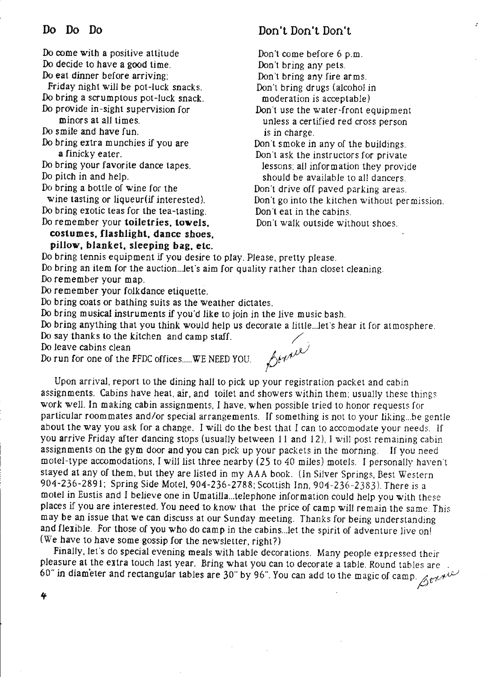Do come with a positive attitude Do decide to have a good time. Do eat dinner before arriving;

Friday night will be pot-Juck snacks. Do bring a scrumptous pot-luck snack. Do provide in-sight supervision for

minors at all times.

Do smile and have fun.

Do bring extra munchies if you are **a** finicky eater.

Do bring your favorite dance tapes. Do pitch *in* and help.

Do bring a bottle of wine for the

wine tasting or liqueur(if interested). Do bring exotic teas for the tea-tasting.

Do remember your **toiletries. towels.** 

**costumes. flashlight, dance shoes. pillow, blanket, sleeping bag, etc.** 

# Don't Don't Don't

Don't come before 6 p.m. Don't bring any pets. Don't bring any fire arms. Don't bring drugs (alcohol in moderation is acceptable) Don't use the water-front equipment unless a certified red cross person *is* in charge. Don't smoke in any of the buildings. Don't ask the instructors for private lessons; all information they provide should be available to all dancers. Don·t drive off paved parking areas. Don't go into the kitchen without per mission. Don't eat in the cabins. Don't walk outside without shoes.

Do bring tennis equipment if you desire to play. Please, pretty please. Do bring an item for the auction...let's aim for quality rather than closet cleaning.

Do remember your map.

Do remember your folkdance etiquette.

Do bring coats or bathing suits as the weather dictates.

Do bring musical instruments if you'd like to join in the live music bash.

Do bring anything that you think would help us decorate a little .. Jet's hear it for atmosphere.

Do say thanks to the kitchen and camp staff.<br>Do leave cabins clean  $\sqrt{2}$ 

Do leave cabins clean<br>Do run for one of the FFDC offices..... WE NEED YOU.  $64444$ 

Upon arrival. report to the dining hall to pick up your registration packet and cabin assignments. Cabins have heat, air, and toilet and showers within them; usually these things work well. In making cabin assignments, I have, when possible tried to honor requests for particular roommates and/or special arrangements. If something is not to your liking ... be gentle about the way you ask for a change. I will do the best that I can to accomodate your needs. If you arrive Friday after dancing stops (usually between 11 and 12), I will post remaining cabin assignments on the gym door and you can pick up your packets in the morning. If you need motel-type accomodations, I will list three nearby (25 to 40 miles) motels. I personally haven 't stayed at any of them, but they are listed in my AAA book. (In Silver Springs, Best Western 904-236-2891; Spring Side Motel, 904-236-2788; Scottish Inn, 904 -236-2383). There is a motel in Eustis and I believe one in Umatilla... telephone information could help you with these places if you are interested. You need to know that the price of camp will remain the same. This may be an issue that we can discuss at our Sunday meeting. Thanks for being understanding and flexible. For those of you who do camp in the cabins...let the spirit of adventure live on! (We have to have some gossip for the newsletter, right?)

Finally, Jet's do special evening meals with table decorations. Many people expressed their pleasure at the extra touch last year. Bring what you can to decorate a table. Round tables are . 60" in diameter and rectangular tables are 30" by 96". You can add to the magic of camp.  $\beta e^{\gamma A}$ 

If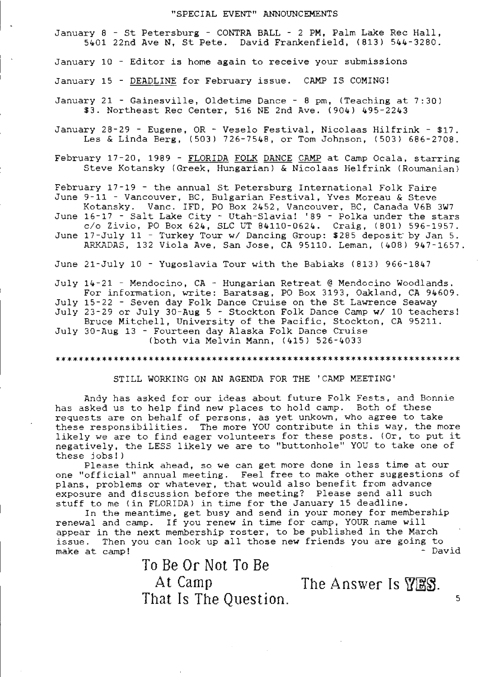## "SPECIAL EVENT" ANNOUNCEMENTS

January 8 - St Petersburg - CONTRA BALL - 2 PM, Palm Lake Rec Hall, 5401 22nd Ave N, St Pete. David Frankenfield, (813) 544-3280.

January 10 - Editor is home again to receive your submissions

January 15 - DEADLINE for February issue. CAMP IS COMING!

January 21 - Gainesville, Oldetime Dance - 8 pm, (Teaching at 7:30) \$3. Northeast Rec Center, 516 NE 2nd Ave. (904) 495-2243

January 28-29 - Eugene, OR - Veselo Festival, Nicolaas Hilfrink - \$17. Les & Linda Berg, (503) 726-7548, or Tom Johnson, (503) 686-2708.

February 17-20, 1989 - FLORIDA FOLK DANCE CAMP at Camp Ocala, starring Steve Kotansky (Greek, Hungarian) & Nicolaas Helfrink (Roumanian)

February  $17 - 19$  - the annual St Petersburg International Folk Faire June 9-11 - Vancouver, BC, Bulgarian Festival, Yves Moreau & Steve

Kotansky. Vanc. IFD, PO Box 2452, Vancouver, BC, Canada V6B 3W7 June 16-17 - Salt Lake City - Utah-Slavia! '89 - Polka under the stars

 $c$ /o Zivio, PO Box 624, SLC UT 84110-0624. Craig, (801) 596-1957. June 17-July 11 - Turkey Tour w/ Dancing Group: \$285 deposit by Jan 5.

ARKADAS, 132 Viola Ave, San Jose, CA 95110. Leman, (408) 947-1657.

June 21-July 10 - Yugoslavia Tour with the Babiaks (813) 966-1847

July 14-21 - Mendocino, CA - Hungarian Retreat @ Mendocino Woodlands. For information, write: Baratsag, PO Box 3193, Oakland, CA 94609. July 15-22 - Seven day Folk Dance Cruise on the St Lawrence Seaway July 23-29 or July 30-Aug 5 - Stockton Folk Dance Camp **w/** 10 teachers! Bruce Mitchell, University of the Pacific, Stockton, CA 95211. July 30-Aug 13 - Fourteen day Alaska Folk Dance Cruise

(both via Melvin Mann, (415) 526-4033

\*\*\*\*\*\*\*\*\*\*\*\*\*\*\*\*\*\*\*\*\*\*\*\*\*\*\*\*\*\*\*\*\*\*\*\*\*\*\*\*\*\*\*\*\*\*\*\*\*\*\*\*\*\*\*\*\*\*\*\*\*\*\*\*\*\*\*\*\*\*

STILL WORKING ON AN AGENDA FOR THE 'CAMP MEETING'

Andy has asked for our ideas about future Folk Fests, and Bonnie has asked us to help find new places to hold camp. Both of these requests are on behalf of persons, as yet unkown, who agree to take these responsibilities. The more YOU contribute in this way, the more likely we are to find eager volunteers for these posts. (Or, to put it negatively, the LESS likely we are to "buttonhole" YOU to take one of these j obs! )

Please think ahead, so we can get more done in less time at our one " official" annual meeting. Feel free to make other suggestions of plans, problems or whatever, that would also benefit from advance exposure and discuss ion before the meeting? Please send all such stuff to me (in FLORIDA) in time for the January 15 deadline.

In the meantime, get busy and send in your money for membership renewal and camp. If you renew *in* time for camp, YOUR name will appear in the next membership roster, to be published in the March appear in the next membership roster, to be published in the march<br>issue. Then you can look up all those new friends you are going to issue. Then you can flock up all those new filends you are going to<br>make at camp! - David

To Be Or Not To Be

That Is The Question.

At Camp The Answer Is  $\sqrt{\text{BS}}$ .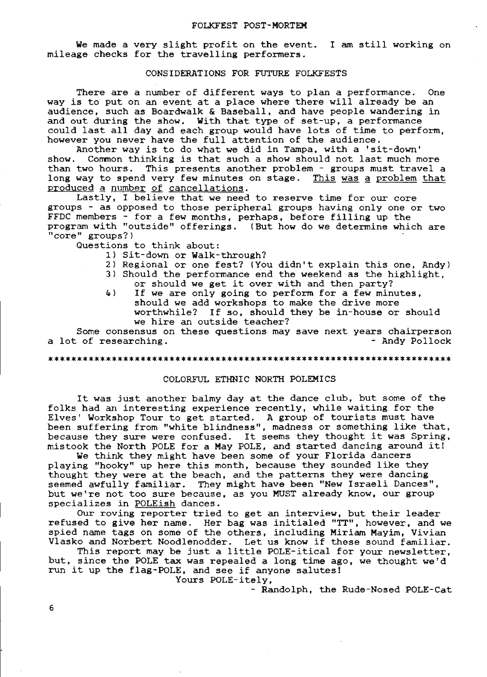## FOLKFEST POST-MORTEM

We made a very slight profit on the event. I am still working on mileage checks for the travelling performers.

# CONSIDERATIONS FOR FUTURE FOLKFESTS

There are a number of different ways to plan a performance. One way is to put on an event at a place where there will already be an audience, such as Boardwalk & Baseball, and have people wandering in and out during the show. With that type of set-up, a performance could last all day and each group would have lots of time to perform, however you never have the full attention of the audience.

Another way is to do what we did in Tampa, with a 'sit-down' Common thinking is that such a show should not last much more than two hours. This presents another problem - groups must travel a long way to spend very few minutes on stage. This was a problem that produced a number of cancellations.

Lastly, I believe that we need to reserve time for our core groups - as opposed to those peripheral groups having only one or two FFDC members - for a few months, perhaps, before filling up the program with "outside" offerings. (But how do we determine which are "core" groups?)

Questions to think about:

- 1) Sit-down or Walk-through?
- 2) Regional or one fest? (You didn't explain this one, Andy)
- 3) Should the performance end the weekend as the highlight, or should we get it over with and then party?
- 4) If we are only going to perform for a few minutes, should we add workshops to make the drive more<br>worthwhile? If so, should they be in-house or If so, should they be in-house or should we hire an outside teacher?

Some consensus on these questions may save next years chairperson sime consensus on these questions may save heat years chall person<br>a lot of researching. - Andy Pollock

### \*\*\*\*\*\*\*\*\*\*\*\*\*\*\*\*\*\*\*\*\*\*\*\*\*\*\*\*\*\*\*\*\*\*\*\*\*\*\*\*\*\*\*\*\*\*\*\*\*\*\*\*\*\*\*\*\*\*\*\*\*\*\*\*\*\*\*\*\*\*

## COLORFUL ETHNIC NORTH POLEMICS

It was just another balmy day at the dance club, but some of the folks had an interesting experience recently, while waiting for the Elves' Workshop Tour to get started. A group of tourists must have been suffering from "white blindness", madness or something like that, because they sure were confused. It seems they thought it was Spring, mistook the North POLE for a May POLE, and started dancing around it!

We think they might have been some of your Florida dancers playing "hooky" up here this month, because they sounded like they thought they were at the beach, and the patterns they were dancing seemed awfully familiar. They might have been **"New** Israeli Dances", but we're not too sure because, as you MUST already know, our group specializes in POLEish dances.

our roving reporter tried to get an interview, but their leader refused to **give** her name. Her bag was initialed "TT", however, and we spied name tags on some of the others, including Miriam Mayim, Vivian Vlasko and Norbert Noodlenodder. Let us know if these sound familiar.

This report may be just a little POLE-itical for your newsletter, but, since the POLE tax was repealed a long time ago, we thought we'd run it up the flag-POLE, and see if anyone salutes!

Yours POLE-itely,

- Randolph, the Rude-Nosed POLE-Cat

6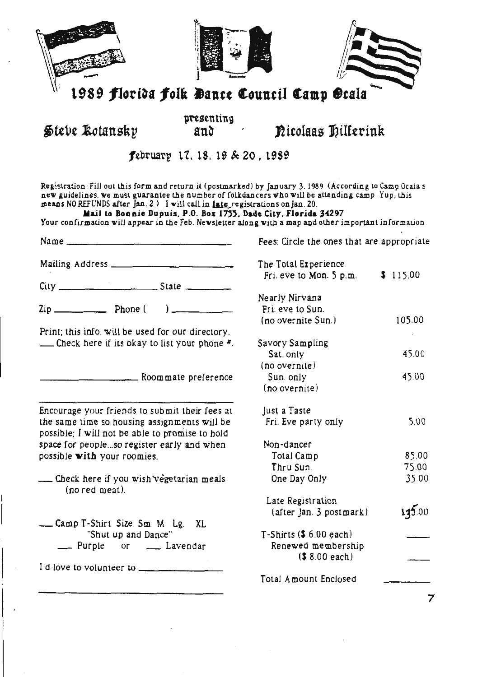| 1989 florida folk Dance Council Camp Ocala                                                                                                                                                                                                                                                                                                                                                                                                                                                      |                     |                                            |          |
|-------------------------------------------------------------------------------------------------------------------------------------------------------------------------------------------------------------------------------------------------------------------------------------------------------------------------------------------------------------------------------------------------------------------------------------------------------------------------------------------------|---------------------|--------------------------------------------|----------|
| Steve Kotansky                                                                                                                                                                                                                                                                                                                                                                                                                                                                                  | presenting<br>and   | Ricolaas Dilferink                         |          |
| february 17, 18, 19 & 20, 1989                                                                                                                                                                                                                                                                                                                                                                                                                                                                  |                     |                                            |          |
| Registration: Fill out this form and return it (postmarked) by January 3, 1989 (According to Camp Ocala s<br>new guidelines, we must guarantee the number of folkdancers who will be attending camp. Yup, this<br>means NO REFUNDS after jan. 2.) I will call in <i>late</i> registrations on jan. 20.<br>Mail to Bonnie Dupuis, P.O. Box 1755, Dade City, Florida 34297<br>Your confirmation will appear in the Feb. Newsletter along with a map and other important information.<br>$Name \_$ |                     | Fees: Circle the ones that are appropriate |          |
|                                                                                                                                                                                                                                                                                                                                                                                                                                                                                                 |                     | The Total Experience                       |          |
|                                                                                                                                                                                                                                                                                                                                                                                                                                                                                                 |                     | Fri. eve to Mon. 5 p.m.                    | \$115.00 |
|                                                                                                                                                                                                                                                                                                                                                                                                                                                                                                 |                     |                                            |          |
|                                                                                                                                                                                                                                                                                                                                                                                                                                                                                                 |                     | Nearly Nirvana                             |          |
|                                                                                                                                                                                                                                                                                                                                                                                                                                                                                                 |                     | Fri. eve to Sun.                           |          |
|                                                                                                                                                                                                                                                                                                                                                                                                                                                                                                 |                     | (no overnite Sun.)                         | 105.00   |
| Print; this info. will be used for our directory.                                                                                                                                                                                                                                                                                                                                                                                                                                               |                     |                                            |          |
| <u>. Check here if its okay to list your phone <math>\pi</math></u>                                                                                                                                                                                                                                                                                                                                                                                                                             |                     | Savory Sampling                            |          |
|                                                                                                                                                                                                                                                                                                                                                                                                                                                                                                 |                     | Sat. only                                  | 45.00    |
|                                                                                                                                                                                                                                                                                                                                                                                                                                                                                                 |                     | (no overnite)                              |          |
|                                                                                                                                                                                                                                                                                                                                                                                                                                                                                                 | Roommate preference | Sun only                                   | 45.00    |
|                                                                                                                                                                                                                                                                                                                                                                                                                                                                                                 |                     | (no overnite)                              |          |
|                                                                                                                                                                                                                                                                                                                                                                                                                                                                                                 |                     |                                            |          |
| Encourage your friends to submit their fees at                                                                                                                                                                                                                                                                                                                                                                                                                                                  |                     | Just a Taste                               | 5.00     |
| the same time so housing assignments will be                                                                                                                                                                                                                                                                                                                                                                                                                                                    |                     | Fri. Eve party only                        |          |
| possible: I will not be able to promise to hold                                                                                                                                                                                                                                                                                                                                                                                                                                                 |                     | Non-dancer                                 |          |
| space for peopleso register early and when                                                                                                                                                                                                                                                                                                                                                                                                                                                      |                     | Total Camp                                 | 85.00    |
| possible with your roomies.                                                                                                                                                                                                                                                                                                                                                                                                                                                                     |                     | Thru Sun.                                  | 75.00    |
|                                                                                                                                                                                                                                                                                                                                                                                                                                                                                                 |                     |                                            | 35.00    |
| Check here if you wish vegetarian meals<br>(no red meat).                                                                                                                                                                                                                                                                                                                                                                                                                                       |                     | One Day Only                               |          |
|                                                                                                                                                                                                                                                                                                                                                                                                                                                                                                 |                     | Late Registration                          |          |
|                                                                                                                                                                                                                                                                                                                                                                                                                                                                                                 |                     | (after Jan. 3 postmark)                    | 135.00   |
| Camp T-Shirt Size Sm M Lg.                                                                                                                                                                                                                                                                                                                                                                                                                                                                      | XL                  |                                            |          |
| "Shut up and Dance"                                                                                                                                                                                                                                                                                                                                                                                                                                                                             |                     | $T$ -Shirts $(S 6.00$ each)                |          |
| Purple<br>or __ Lavendar                                                                                                                                                                                                                                                                                                                                                                                                                                                                        |                     | Renewed membership                         |          |
|                                                                                                                                                                                                                                                                                                                                                                                                                                                                                                 |                     | $(58.00$ each)                             |          |
| I'd love to volunteer to _____________                                                                                                                                                                                                                                                                                                                                                                                                                                                          |                     |                                            |          |
|                                                                                                                                                                                                                                                                                                                                                                                                                                                                                                 |                     | Total Amount Enclosed                      |          |
|                                                                                                                                                                                                                                                                                                                                                                                                                                                                                                 |                     |                                            |          |
|                                                                                                                                                                                                                                                                                                                                                                                                                                                                                                 |                     |                                            |          |

 $\boldsymbol{\beta}$ 

i.